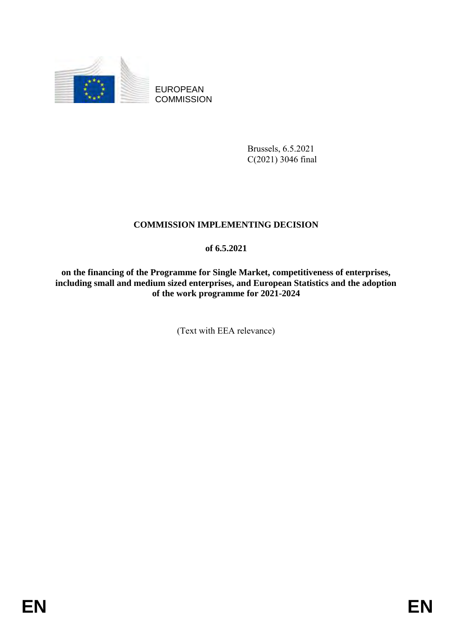

EUROPEAN **COMMISSION** 

> Brussels, 6.5.2021 C(2021) 3046 final

# **COMMISSION IMPLEMENTING DECISION**

# **of 6.5.2021**

**on the financing of the Programme for Single Market, competitiveness of enterprises, including small and medium sized enterprises, and European Statistics and the adoption of the work programme for 2021-2024**

(Text with EEA relevance)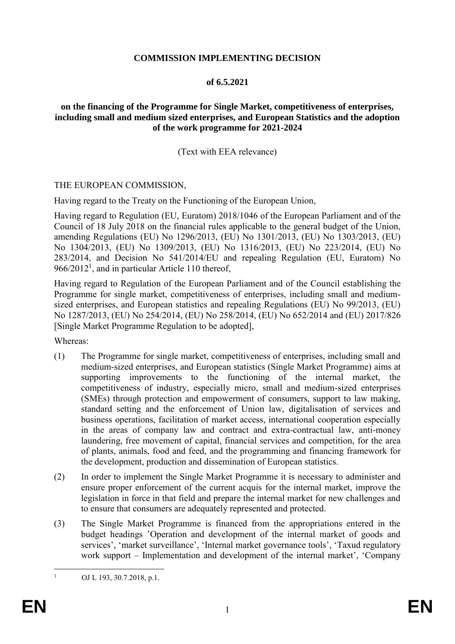## **COMMISSION IMPLEMENTING DECISION**

## **of 6.5.2021**

## **on the financing of the Programme for Single Market, competitiveness of enterprises, including small and medium sized enterprises, and European Statistics and the adoption of the work programme for 2021-2024**

# (Text with EEA relevance)

## THE EUROPEAN COMMISSION,

Having regard to the Treaty on the Functioning of the European Union,

Having regard to Regulation (EU, Euratom) 2018/1046 of the European Parliament and of the Council of 18 July 2018 on the financial rules applicable to the general budget of the Union, amending Regulations (EU) No 1296/2013, (EU) No 1301/2013, (EU) No 1303/2013, (EU) No 1304/2013, (EU) No 1309/2013, (EU) No 1316/2013, (EU) No 223/2014, (EU) No 283/2014, and Decision No 541/2014/EU and repealing Regulation (EU, Euratom) No  $966/2012<sup>1</sup>$ , and in particular Article 110 thereof,

Having regard to Regulation of the European Parliament and of the Council establishing the Programme for single market, competitiveness of enterprises, including small and mediumsized enterprises, and European statistics and repealing Regulations (EU) No 99/2013, (EU) No 1287/2013, (EU) No 254/2014, (EU) No 258/2014, (EU) No 652/2014 and (EU) 2017/826 [Single Market Programme Regulation to be adopted],

Whereas:

- (1) The Programme for single market, competitiveness of enterprises, including small and medium-sized enterprises, and European statistics (Single Market Programme) aims at supporting improvements to the functioning of the internal market, the competitiveness of industry, especially micro, small and medium-sized enterprises (SMEs) through protection and empowerment of consumers, support to law making, standard setting and the enforcement of Union law, digitalisation of services and business operations, facilitation of market access, international cooperation especially in the areas of company law and contract and extra-contractual law, anti-money laundering, free movement of capital, financial services and competition, for the area of plants, animals, food and feed, and the programming and financing framework for the development, production and dissemination of European statistics.
- (2) In order to implement the Single Market Programme it is necessary to administer and ensure proper enforcement of the current acquis for the internal market, improve the legislation in force in that field and prepare the internal market for new challenges and to ensure that consumers are adequately represented and protected.
- (3) The Single Market Programme is financed from the appropriations entered in the budget headings 'Operation and development of the internal market of goods and services', 'market surveillance', 'Internal market governance tools', 'Taxud regulatory work support – Implementation and development of the internal market', 'Company

 $\mathbf{1}$ 

OJ L 193, 30.7.2018, p.1.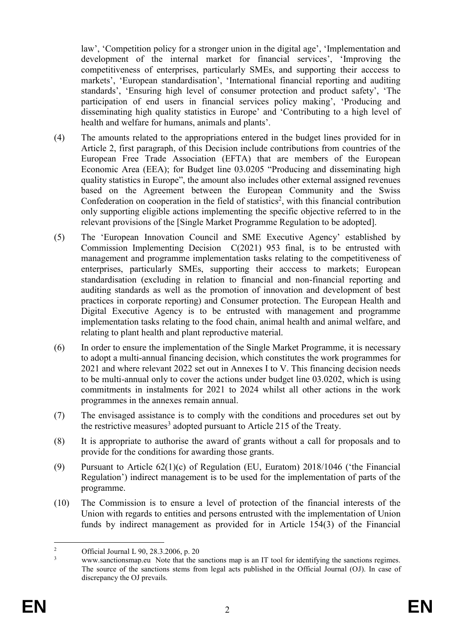law', 'Competition policy for a stronger union in the digital age', 'Implementation and development of the internal market for financial services', 'Improving the competitiveness of enterprises, particularly SMEs, and supporting their acccess to markets', 'European standardisation', 'International financial reporting and auditing standards', 'Ensuring high level of consumer protection and product safety', 'The participation of end users in financial services policy making', 'Producing and disseminating high quality statistics in Europe' and 'Contributing to a high level of health and welfare for humans, animals and plants'.

- (4) The amounts related to the appropriations entered in the budget lines provided for in Article 2, first paragraph, of this Decision include contributions from countries of the European Free Trade Association (EFTA) that are members of the European Economic Area (EEA); for Budget line 03.0205 "Producing and disseminating high quality statistics in Europe", the amount also includes other external assigned revenues based on the Agreement between the European Community and the Swiss Confederation on cooperation in the field of statistics<sup>2</sup>, with this financial contribution only supporting eligible actions implementing the specific objective referred to in the relevant provisions of the [Single Market Programme Regulation to be adopted].
- (5) The 'European Innovation Council and SME Executive Agency' established by Commission Implementing Decision C(2021) 953 final, is to be entrusted with management and programme implementation tasks relating to the competitiveness of enterprises, particularly SMEs, supporting their acccess to markets; European standardisation (excluding in relation to financial and non-financial reporting and auditing standards as well as the promotion of innovation and development of best practices in corporate reporting) and Consumer protection. The European Health and Digital Executive Agency is to be entrusted with management and programme implementation tasks relating to the food chain, animal health and animal welfare, and relating to plant health and plant reproductive material.
- (6) In order to ensure the implementation of the Single Market Programme, it is necessary to adopt a multi-annual financing decision, which constitutes the work programmes for 2021 and where relevant 2022 set out in Annexes I to V. This financing decision needs to be multi-annual only to cover the actions under budget line 03.0202, which is using commitments in instalments for 2021 to 2024 whilst all other actions in the work programmes in the annexes remain annual.
- (7) The envisaged assistance is to comply with the conditions and procedures set out by the restrictive measures<sup>3</sup> adopted pursuant to Article 215 of the Treaty.
- (8) It is appropriate to authorise the award of grants without a call for proposals and to provide for the conditions for awarding those grants.
- (9) Pursuant to Article 62(1)(c) of Regulation (EU, Euratom) 2018/1046 ('the Financial Regulation') indirect management is to be used for the implementation of parts of the programme.
- (10) The Commission is to ensure a level of protection of the financial interests of the Union with regards to entities and persons entrusted with the implementation of Union funds by indirect management as provided for in Article 154(3) of the Financial

 $\overline{2}$ <sup>2</sup> Official Journal L 90, 28.3.2006, p. 20<br><sup>3</sup> HIMPIN constitutions and Note that the s

[www.sanctionsmap.eu](http://www.sanctionsmap.eu/) Note that the sanctions map is an IT tool for identifying the sanctions regimes. The source of the sanctions stems from legal acts published in the Official Journal (OJ). In case of discrepancy the OJ prevails.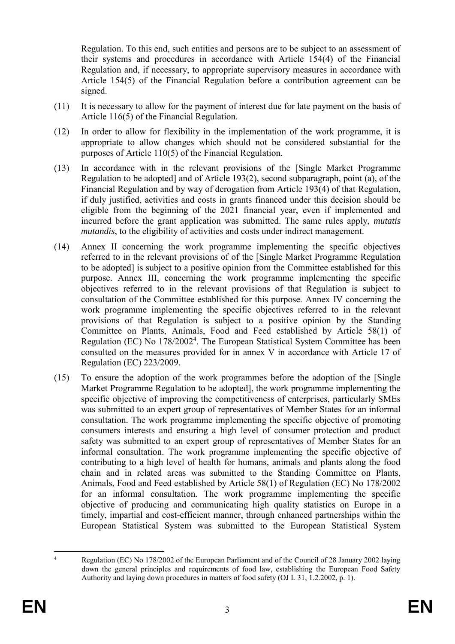Regulation. To this end, such entities and persons are to be subject to an assessment of their systems and procedures in accordance with Article 154(4) of the Financial Regulation and, if necessary, to appropriate supervisory measures in accordance with Article 154(5) of the Financial Regulation before a contribution agreement can be signed.

- (11) It is necessary to allow for the payment of interest due for late payment on the basis of Article 116(5) of the Financial Regulation.
- (12) In order to allow for flexibility in the implementation of the work programme, it is appropriate to allow changes which should not be considered substantial for the purposes of Article 110(5) of the Financial Regulation.
- (13) In accordance with in the relevant provisions of the [Single Market Programme Regulation to be adopted] and of Article 193(2), second subparagraph, point (a), of the Financial Regulation and by way of derogation from Article 193(4) of that Regulation, if duly justified, activities and costs in grants financed under this decision should be eligible from the beginning of the 2021 financial year, even if implemented and incurred before the grant application was submitted. The same rules apply, *mutatis mutandis*, to the eligibility of activities and costs under indirect management.
- (14) Annex II concerning the work programme implementing the specific objectives referred to in the relevant provisions of of the [Single Market Programme Regulation to be adopted] is subject to a positive opinion from the Committee established for this purpose. Annex III, concerning the work programme implementing the specific objectives referred to in the relevant provisions of that Regulation is subject to consultation of the Committee established for this purpose. Annex IV concerning the work programme implementing the specific objectives referred to in the relevant provisions of that Regulation is subject to a positive opinion by the Standing Committee on Plants, Animals, Food and Feed established by Article 58(1) of Regulation (EC) No 178/2002<sup>4</sup>. The European Statistical System Committee has been consulted on the measures provided for in annex V in accordance with Article 17 of Regulation (EC) 223/2009.
- (15) To ensure the adoption of the work programmes before the adoption of the [Single Market Programme Regulation to be adopted], the work programme implementing the specific objective of improving the competitiveness of enterprises, particularly SMEs was submitted to an expert group of representatives of Member States for an informal consultation. The work programme implementing the specific objective of promoting consumers interests and ensuring a high level of consumer protection and product safety was submitted to an expert group of representatives of Member States for an informal consultation. The work programme implementing the specific objective of contributing to a high level of health for humans, animals and plants along the food chain and in related areas was submitted to the Standing Committee on Plants, Animals, Food and Feed established by Article 58(1) of Regulation (EC) No 178/2002 for an informal consultation. The work programme implementing the specific objective of producing and communicating high quality statistics on Europe in a timely, impartial and cost-efficient manner, through enhanced partnerships within the European Statistical System was submitted to the European Statistical System

<u>.</u>

Regulation (EC) No 178/2002 of the European Parliament and of the Council of 28 January 2002 laying down the general principles and requirements of food law, establishing the European Food Safety Authority and laying down procedures in matters of food safety (OJ L 31, 1.2.2002, p. 1).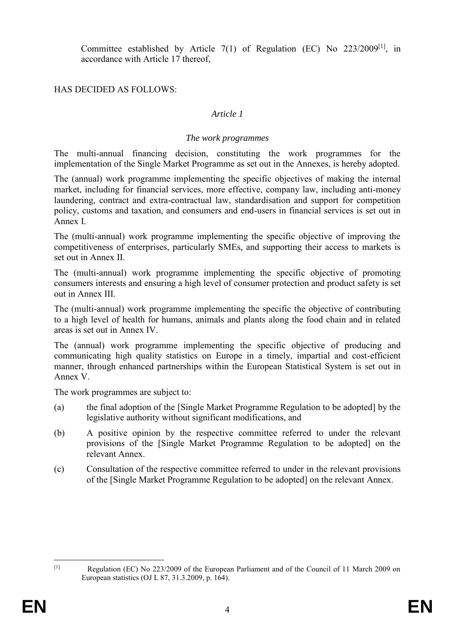Committee established by Article 7(1) of Regulation (EC) No 223/2009[1], in accordance with Article 17 thereof,

# HAS DECIDED AS FOLLOWS:

## *Article 1*

#### *The work programmes*

The multi-annual financing decision, constituting the work programmes for the implementation of the Single Market Programme as set out in the Annexes, is hereby adopted.

The (annual) work programme implementing the specific objectives of making the internal market, including for financial services, more effective, company law, including anti-money laundering, contract and extra-contractual law, standardisation and support for competition policy, customs and taxation, and consumers and end-users in financial services is set out in Annex I.

The (multi-annual) work programme implementing the specific objective of improving the competitiveness of enterprises, particularly SMEs, and supporting their access to markets is set out in Annex II.

The (multi-annual) work programme implementing the specific objective of promoting consumers interests and ensuring a high level of consumer protection and product safety is set out in Annex III.

The (multi-annual) work programme implementing the specific the objective of contributing to a high level of health for humans, animals and plants along the food chain and in related areas is set out in Annex IV.

The (annual) work programme implementing the specific objective of producing and communicating high quality statistics on Europe in a timely, impartial and cost-efficient manner, through enhanced partnerships within the European Statistical System is set out in Annex V.

The work programmes are subject to:

- (a) the final adoption of the [Single Market Programme Regulation to be adopted] by the legislative authority without significant modifications, and
- (b) A positive opinion by the respective committee referred to under the relevant provisions of the [Single Market Programme Regulation to be adopted] on the relevant Annex.
- (c) Consultation of the respective committee referred to under in the relevant provisions of the [Single Market Programme Regulation to be adopted] on the relevant Annex.

 $\frac{1}{\lbrack1\rbrack}$ 

Regulation (EC) No 223/2009 of the European Parliament and of the Council of 11 March 2009 on European statistics (OJ L 87, 31.3.2009, p. 164).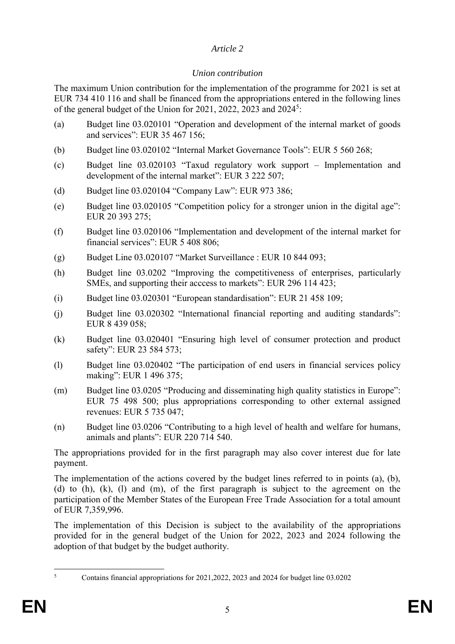# *Article 2*

# *Union contribution*

The maximum Union contribution for the implementation of the programme for 2021 is set at EUR 734 410 116 and shall be financed from the appropriations entered in the following lines of the general budget of the Union for 2021, 2022, 2023 and 2024<sup>5</sup>:

- (a) Budget line 03.020101 "Operation and development of the internal market of goods and services": EUR 35 467 156;
- (b) Budget line 03.020102 "Internal Market Governance Tools": EUR 5 560 268;
- (c) Budget line 03.020103 "Taxud regulatory work support Implementation and development of the internal market": EUR 3 222 507;
- (d) Budget line 03.020104 "Company Law": EUR 973 386;
- (e) Budget line 03.020105 "Competition policy for a stronger union in the digital age": EUR 20 393 275;
- (f) Budget line 03.020106 "Implementation and development of the internal market for financial services": EUR 5 408 806;
- (g) Budget Line 03.020107 "Market Surveillance : EUR 10 844 093;
- (h) Budget line 03.0202 "Improving the competitiveness of enterprises, particularly SMEs, and supporting their acccess to markets": EUR 296 114 423;
- (i) Budget line 03.020301 "European standardisation": EUR 21 458 109;
- (j) Budget line 03.020302 "International financial reporting and auditing standards": EUR 8 439 058;
- (k) Budget line 03.020401 "Ensuring high level of consumer protection and product safety": EUR 23 584 573;
- (l) Budget line 03.020402 "The participation of end users in financial services policy making": EUR 1 496 375;
- (m) Budget line 03.0205 "Producing and disseminating high quality statistics in Europe": EUR 75 498 500; plus appropriations corresponding to other external assigned revenues: EUR 5 735 047;
- (n) Budget line 03.0206 "Contributing to a high level of health and welfare for humans, animals and plants": EUR 220 714 540.

The appropriations provided for in the first paragraph may also cover interest due for late payment.

The implementation of the actions covered by the budget lines referred to in points (a), (b), (d) to (h), (k), (l) and (m), of the first paragraph is subject to the agreement on the participation of the Member States of the European Free Trade Association for a total amount of EUR 7,359,996.

The implementation of this Decision is subject to the availability of the appropriations provided for in the general budget of the Union for 2022, 2023 and 2024 following the adoption of that budget by the budget authority.

 $\leq$ 

<sup>5</sup> Contains financial appropriations for 2021,2022, 2023 and 2024 for budget line 03.0202